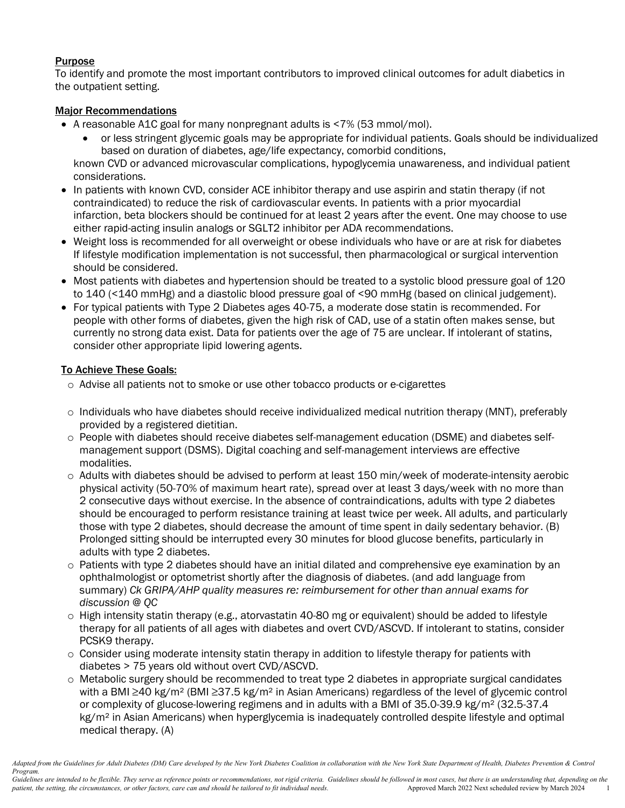# **Purpose**

To identify and promote the most important contributors to improved clinical outcomes for adult diabetics in the outpatient setting.

# Major Recommendations

- A reasonable A1C goal for many nonpregnant adults is <7% (53 mmol/mol).
	- or less stringent glycemic goals may be appropriate for individual patients. Goals should be individualized based on duration of diabetes, age/life expectancy, comorbid conditions,

known CVD or advanced microvascular complications, hypoglycemia unawareness, and individual patient considerations.

- In patients with known CVD, consider ACE inhibitor therapy and use aspirin and statin therapy (if not contraindicated) to reduce the risk of cardiovascular events. In patients with a prior myocardial infarction, beta blockers should be continued for at least 2 years after the event. One may choose to use either rapid-acting insulin analogs or SGLT2 inhibitor per ADA recommendations.
- Weight loss is recommended for all overweight or obese individuals who have or are at risk for diabetes If lifestyle modification implementation is not successful, then pharmacological or surgical intervention should be considered.
- Most patients with diabetes and hypertension should be treated to a systolic blood pressure goal of 120 to 140 (<140 mmHg) and a diastolic blood pressure goal of <90 mmHg (based on clinical judgement).
- For typical patients with Type 2 Diabetes ages 40-75, a moderate dose statin is recommended. For people with other forms of diabetes, given the high risk of CAD, use of a statin often makes sense, but currently no strong data exist. Data for patients over the age of 75 are unclear. If intolerant of statins, consider other appropriate lipid lowering agents.

# To Achieve These Goals:

- o Advise all patients not to smoke or use other tobacco products or e-cigarettes
- $\circ$  Individuals who have diabetes should receive individualized medical nutrition therapy (MNT), preferably provided by a registered dietitian.
- o People with diabetes should receive diabetes self-management education (DSME) and diabetes selfmanagement support (DSMS). Digital coaching and self-management interviews are effective modalities.
- o Adults with diabetes should be advised to perform at least 150 min/week of moderate-intensity aerobic physical activity (50-70% of maximum heart rate), spread over at least 3 days/week with no more than 2 consecutive days without exercise. In the absence of contraindications, adults with type 2 diabetes should be encouraged to perform resistance training at least twice per week. All adults, and particularly those with type 2 diabetes, should decrease the amount of time spent in daily sedentary behavior. (B) Prolonged sitting should be interrupted every 30 minutes for blood glucose benefits, particularly in adults with type 2 diabetes.
- o Patients with type 2 diabetes should have an initial dilated and comprehensive eye examination by an ophthalmologist or optometrist shortly after the diagnosis of diabetes. (and add language from summary) *Ck GRIPA/AHP quality measures re: reimbursement for other than annual exams for discussion @ QC*
- $\circ$  High intensity statin therapy (e.g., atorvastatin 40-80 mg or equivalent) should be added to lifestyle therapy for all patients of all ages with diabetes and overt CVD/ASCVD. If intolerant to statins, consider PCSK9 therapy.
- $\circ$  Consider using moderate intensity statin therapy in addition to lifestyle therapy for patients with diabetes > 75 years old without overt CVD/ASCVD.
- o Metabolic surgery should be recommended to treat type 2 diabetes in appropriate surgical candidates with a BMI ≥40 kg/m<sup>2</sup> (BMI ≥37.5 kg/m<sup>2</sup> in Asian Americans) regardless of the level of glycemic control or complexity of glucose-lowering regimens and in adults with a BMI of 35.0-39.9 kg/m² (32.5-37.4 kg/m<sup>2</sup> in Asian Americans) when hyperglycemia is inadequately controlled despite lifestyle and optimal medical therapy. (A)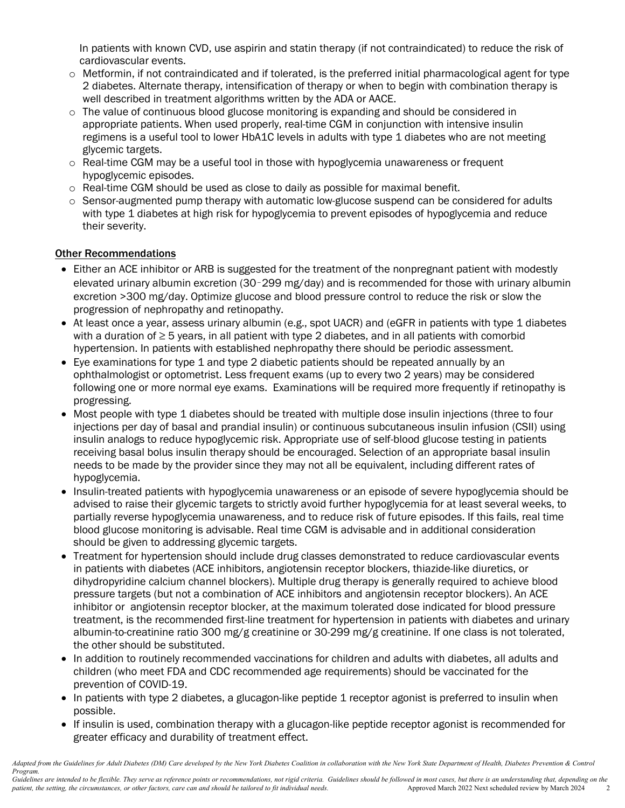In patients with known CVD, use aspirin and statin therapy (if not contraindicated) to reduce the risk of cardiovascular events.

- $\circ$  Metformin, if not contraindicated and if tolerated, is the preferred initial pharmacological agent for type 2 diabetes. Alternate therapy, intensification of therapy or when to begin with combination therapy is well described in treatment algorithms written by the ADA or AACE.
- $\circ$  The value of continuous blood glucose monitoring is expanding and should be considered in appropriate patients. When used properly, real-time CGM in conjunction with intensive insulin regimens is a useful tool to lower HbA1C levels in adults with type 1 diabetes who are not meeting glycemic targets.
- o Real-time CGM may be a useful tool in those with hypoglycemia unawareness or frequent hypoglycemic episodes.
- $\circ$  Real-time CGM should be used as close to daily as possible for maximal benefit.
- $\circ$  Sensor-augmented pump therapy with automatic low-glucose suspend can be considered for adults with type 1 diabetes at high risk for hypoglycemia to prevent episodes of hypoglycemia and reduce their severity.

# Other Recommendations

- Either an ACE inhibitor or ARB is suggested for the treatment of the nonpregnant patient with modestly elevated urinary albumin excretion (30–299 mg/day) and is recommended for those with urinary albumin excretion >300 mg/day. Optimize glucose and blood pressure control to reduce the risk or slow the progression of nephropathy and retinopathy.
- At least once a year, assess urinary albumin (e.g., spot UACR) and (eGFR in patients with type 1 diabetes with a duration of ≥ 5 years, in all patient with type 2 diabetes, and in all patients with comorbid hypertension. In patients with established nephropathy there should be periodic assessment.
- Eye examinations for type 1 and type 2 diabetic patients should be repeated annually by an ophthalmologist or optometrist. Less frequent exams (up to every two 2 years) may be considered following one or more normal eye exams. Examinations will be required more frequently if retinopathy is progressing.
- Most people with type 1 diabetes should be treated with multiple dose insulin injections (three to four injections per day of basal and prandial insulin) or continuous subcutaneous insulin infusion (CSII) using insulin analogs to reduce hypoglycemic risk. Appropriate use of self-blood glucose testing in patients receiving basal bolus insulin therapy should be encouraged. Selection of an appropriate basal insulin needs to be made by the provider since they may not all be equivalent, including different rates of hypoglycemia.
- Insulin-treated patients with hypoglycemia unawareness or an episode of severe hypoglycemia should be advised to raise their glycemic targets to strictly avoid further hypoglycemia for at least several weeks, to partially reverse hypoglycemia unawareness, and to reduce risk of future episodes. If this fails, real time blood glucose monitoring is advisable. Real time CGM is advisable and in additional consideration should be given to addressing glycemic targets.
- Treatment for hypertension should include drug classes demonstrated to reduce cardiovascular events in patients with diabetes (ACE inhibitors, angiotensin receptor blockers, thiazide-like diuretics, or dihydropyridine calcium channel blockers). Multiple drug therapy is generally required to achieve blood pressure targets (but not a combination of ACE inhibitors and angiotensin receptor blockers). An ACE inhibitor or angiotensin receptor blocker, at the maximum tolerated dose indicated for blood pressure treatment, is the recommended first-line treatment for hypertension in patients with diabetes and urinary albumin-to-creatinine ratio 300 mg/g creatinine or 30-299 mg/g creatinine. If one class is not tolerated, the other should be substituted.
- In addition to routinely recommended vaccinations for children and adults with diabetes, all adults and children (who meet FDA and CDC recommended age requirements) should be vaccinated for the prevention of COVID-19.
- In patients with type 2 diabetes, a glucagon-like peptide 1 receptor agonist is preferred to insulin when possible.
- If insulin is used, combination therapy with a glucagon-like peptide receptor agonist is recommended for greater efficacy and durability of treatment effect.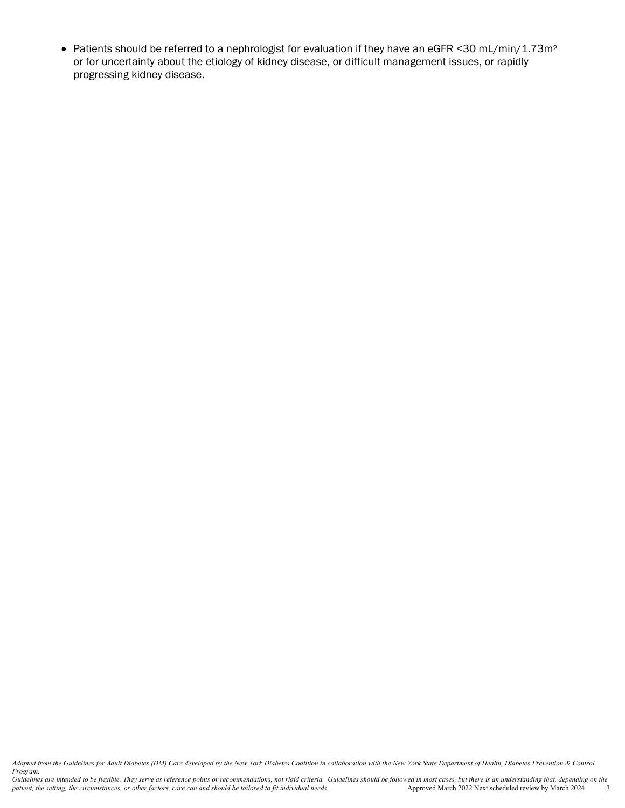• Patients should be referred to a nephrologist for evaluation if they have an eGFR <30 mL/min/1.73m2 or for uncertainty about the etiology of kidney disease, or difficult management issues, or rapidly progressing kidney disease.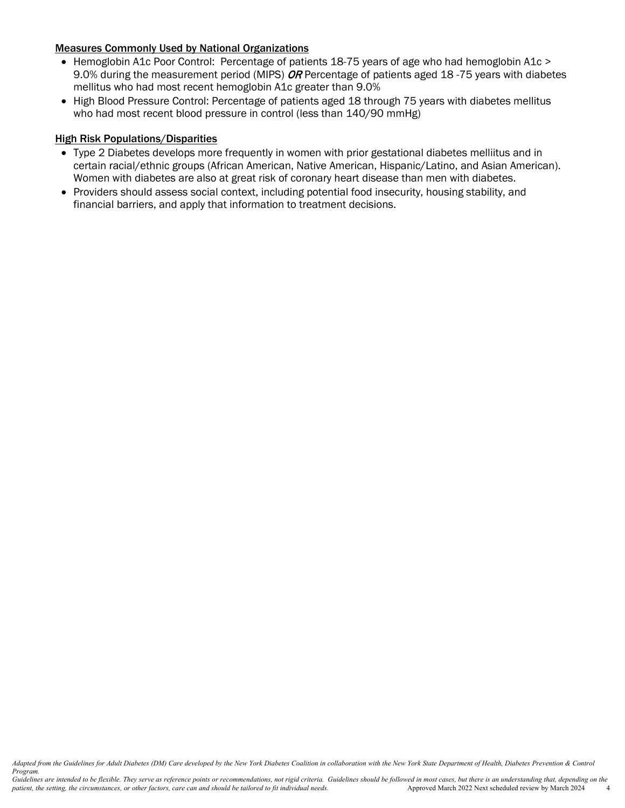## Measures Commonly Used by National Organizations

- Hemoglobin A1c Poor Control: Percentage of patients 18-75 years of age who had hemoglobin A1c > 9.0% during the measurement period (MIPS) OR Percentage of patients aged 18 -75 years with diabetes mellitus who had most recent hemoglobin A1c greater than 9.0%
- High Blood Pressure Control: Percentage of patients aged 18 through 75 years with diabetes mellitus who had most recent blood pressure in control (less than 140/90 mmHg)

#### **High Risk Populations/Disparities**

- Type 2 Diabetes develops more frequently in women with prior gestational diabetes melliitus and in certain racial/ethnic groups (African American, Native American, Hispanic/Latino, and Asian American). Women with diabetes are also at great risk of coronary heart disease than men with diabetes.
- Providers should assess social context, including potential food insecurity, housing stability, and financial barriers, and apply that information to treatment decisions.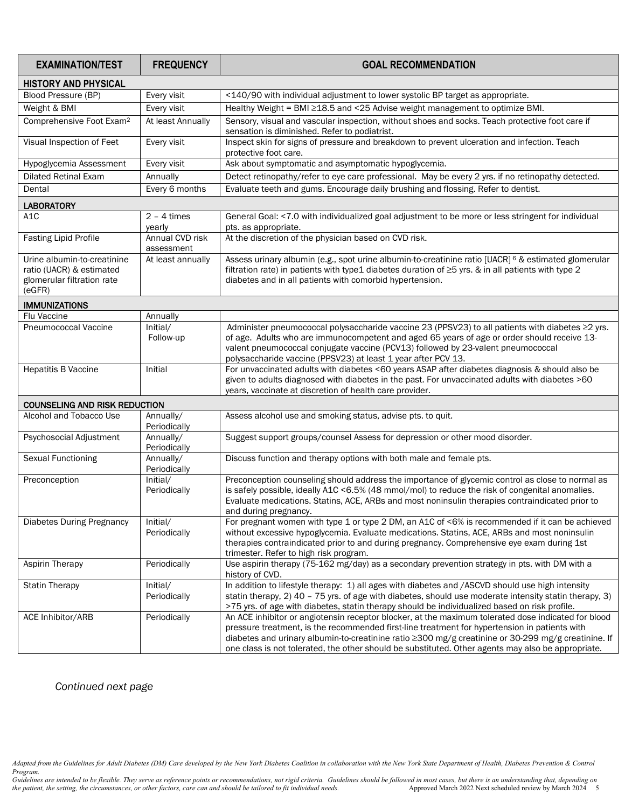| <b>EXAMINATION/TEST</b>                                                                         | <b>FREQUENCY</b>              | <b>GOAL RECOMMENDATION</b>                                                                                                                                                                                                                                                                                                                                                                                        |  |  |  |  |  |
|-------------------------------------------------------------------------------------------------|-------------------------------|-------------------------------------------------------------------------------------------------------------------------------------------------------------------------------------------------------------------------------------------------------------------------------------------------------------------------------------------------------------------------------------------------------------------|--|--|--|--|--|
| <b>HISTORY AND PHYSICAL</b>                                                                     |                               |                                                                                                                                                                                                                                                                                                                                                                                                                   |  |  |  |  |  |
| Blood Pressure (BP)                                                                             | Every visit                   | <140/90 with individual adjustment to lower systolic BP target as appropriate.                                                                                                                                                                                                                                                                                                                                    |  |  |  |  |  |
| Weight & BMI                                                                                    | Every visit                   | Healthy Weight = BMI ≥18.5 and <25 Advise weight management to optimize BMI.                                                                                                                                                                                                                                                                                                                                      |  |  |  |  |  |
| Comprehensive Foot Exam <sup>2</sup>                                                            | At least Annually             | Sensory, visual and vascular inspection, without shoes and socks. Teach protective foot care if<br>sensation is diminished. Refer to podiatrist.                                                                                                                                                                                                                                                                  |  |  |  |  |  |
| Visual Inspection of Feet                                                                       | Every visit                   | Inspect skin for signs of pressure and breakdown to prevent ulceration and infection. Teach<br>protective foot care.                                                                                                                                                                                                                                                                                              |  |  |  |  |  |
| Hypoglycemia Assessment                                                                         | Every visit                   | Ask about symptomatic and asymptomatic hypoglycemia.                                                                                                                                                                                                                                                                                                                                                              |  |  |  |  |  |
| <b>Dilated Retinal Exam</b>                                                                     | Annually                      | Detect retinopathy/refer to eye care professional. May be every 2 yrs. if no retinopathy detected.                                                                                                                                                                                                                                                                                                                |  |  |  |  |  |
| Dental                                                                                          | Every 6 months                | Evaluate teeth and gums. Encourage daily brushing and flossing. Refer to dentist.                                                                                                                                                                                                                                                                                                                                 |  |  |  |  |  |
| <b>LABORATORY</b>                                                                               |                               |                                                                                                                                                                                                                                                                                                                                                                                                                   |  |  |  |  |  |
| A <sub>1</sub> C                                                                                | $2 - 4$ times<br>yearly       | General Goal: <7.0 with individualized goal adjustment to be more or less stringent for individual<br>pts. as appropriate.                                                                                                                                                                                                                                                                                        |  |  |  |  |  |
| <b>Fasting Lipid Profile</b>                                                                    | Annual CVD risk<br>assessment | At the discretion of the physician based on CVD risk.                                                                                                                                                                                                                                                                                                                                                             |  |  |  |  |  |
| Urine albumin-to-creatinine<br>ratio (UACR) & estimated<br>glomerular filtration rate<br>(eGFR) | At least annually             | Assess urinary albumin (e.g., spot urine albumin-to-creatinine ratio [UACR] <sup>6</sup> & estimated glomerular<br>filtration rate) in patients with type1 diabetes duration of $\geq$ 5 yrs. & in all patients with type 2<br>diabetes and in all patients with comorbid hypertension.                                                                                                                           |  |  |  |  |  |
| <b>IMMUNIZATIONS</b>                                                                            |                               |                                                                                                                                                                                                                                                                                                                                                                                                                   |  |  |  |  |  |
| Flu Vaccine                                                                                     | Annually                      |                                                                                                                                                                                                                                                                                                                                                                                                                   |  |  |  |  |  |
| Pneumococcal Vaccine                                                                            | Initial/<br>Follow-up         | Administer pneumococcal polysaccharide vaccine 23 (PPSV23) to all patients with diabetes ≥2 yrs.<br>of age. Adults who are immunocompetent and aged 65 years of age or order should receive 13-<br>valent pneumococcal conjugate vaccine (PCV13) followed by 23-valent pneumococcal<br>polysaccharide vaccine (PPSV23) at least 1 year after PCV 13.                                                              |  |  |  |  |  |
| <b>Hepatitis B Vaccine</b>                                                                      | Initial                       | For unvaccinated adults with diabetes <60 years ASAP after diabetes diagnosis & should also be                                                                                                                                                                                                                                                                                                                    |  |  |  |  |  |
|                                                                                                 |                               | given to adults diagnosed with diabetes in the past. For unvaccinated adults with diabetes >60<br>years, vaccinate at discretion of health care provider.                                                                                                                                                                                                                                                         |  |  |  |  |  |
| <b>COUNSELING AND RISK REDUCTION</b>                                                            |                               |                                                                                                                                                                                                                                                                                                                                                                                                                   |  |  |  |  |  |
| Alcohol and Tobacco Use                                                                         | Annually/<br>Periodically     | Assess alcohol use and smoking status, advise pts. to quit.                                                                                                                                                                                                                                                                                                                                                       |  |  |  |  |  |
| Psychosocial Adjustment                                                                         | Annually/<br>Periodically     | Suggest support groups/counsel Assess for depression or other mood disorder.                                                                                                                                                                                                                                                                                                                                      |  |  |  |  |  |
| <b>Sexual Functioning</b>                                                                       | Annually/<br>Periodically     | Discuss function and therapy options with both male and female pts.                                                                                                                                                                                                                                                                                                                                               |  |  |  |  |  |
| Preconception                                                                                   | Initial/<br>Periodically      | Preconception counseling should address the importance of glycemic control as close to normal as<br>is safely possible, ideally A1C <6.5% (48 mmol/mol) to reduce the risk of congenital anomalies.<br>Evaluate medications. Statins, ACE, ARBs and most noninsulin therapies contraindicated prior to<br>and during pregnancy.                                                                                   |  |  |  |  |  |
| <b>Diabetes During Pregnancy</b>                                                                | Initial/<br>Periodically      | For pregnant women with type 1 or type 2 DM, an A1C of <6% is recommended if it can be achieved<br>without excessive hypoglycemia. Evaluate medications. Statins, ACE, ARBs and most noninsulin<br>therapies contraindicated prior to and during pregnancy. Comprehensive eye exam during 1st<br>trimester. Refer to high risk program.                                                                           |  |  |  |  |  |
| Aspirin Therapy                                                                                 | Periodically                  | Use aspirin therapy (75-162 mg/day) as a secondary prevention strategy in pts. with DM with a<br>history of CVD.                                                                                                                                                                                                                                                                                                  |  |  |  |  |  |
| <b>Statin Therapy</b>                                                                           | Initial/<br>Periodically      | In addition to lifestyle therapy: 1) all ages with diabetes and /ASCVD should use high intensity<br>statin therapy, 2) 40 - 75 yrs. of age with diabetes, should use moderate intensity statin therapy, 3)<br>>75 yrs. of age with diabetes, statin therapy should be individualized based on risk profile.                                                                                                       |  |  |  |  |  |
| ACE Inhibitor/ARB                                                                               | Periodically                  | An ACE inhibitor or angiotensin receptor blocker, at the maximum tolerated dose indicated for blood<br>pressure treatment, is the recommended first-line treatment for hypertension in patients with<br>diabetes and urinary albumin-to-creatinine ratio ≥300 mg/g creatinine or 30-299 mg/g creatinine. If<br>one class is not tolerated, the other should be substituted. Other agents may also be appropriate. |  |  |  |  |  |

*Continued next page*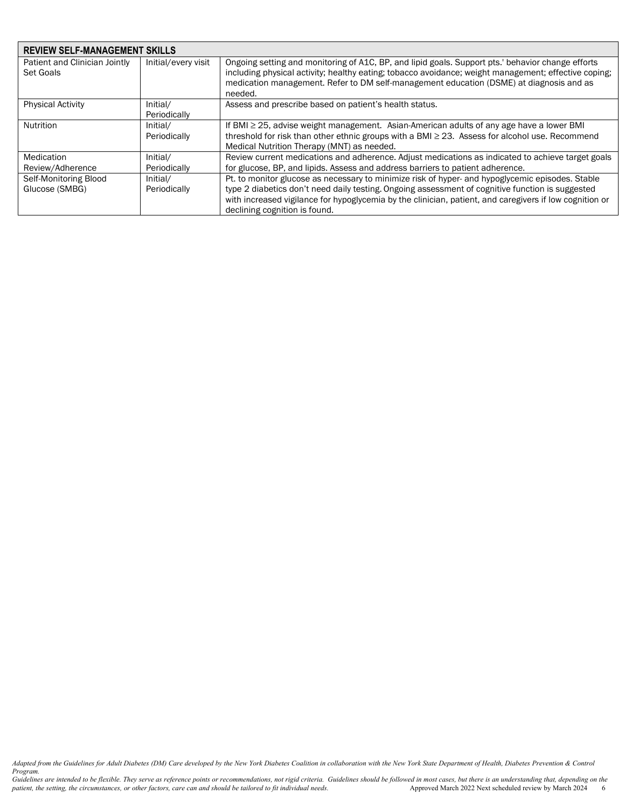| <b>REVIEW SELF-MANAGEMENT SKILLS</b>       |                          |                                                                                                                                                                                                                                                                                                                                                  |  |  |  |  |
|--------------------------------------------|--------------------------|--------------------------------------------------------------------------------------------------------------------------------------------------------------------------------------------------------------------------------------------------------------------------------------------------------------------------------------------------|--|--|--|--|
| Patient and Clinician Jointly<br>Set Goals | Initial/every visit      | Ongoing setting and monitoring of A1C, BP, and lipid goals. Support pts.' behavior change efforts<br>including physical activity; healthy eating; tobacco avoidance; weight management; effective coping;<br>medication management. Refer to DM self-management education (DSME) at diagnosis and as<br>needed.                                  |  |  |  |  |
| <b>Physical Activity</b>                   | Initial/<br>Periodically | Assess and prescribe based on patient's health status.                                                                                                                                                                                                                                                                                           |  |  |  |  |
| Nutrition                                  | Initial/<br>Periodically | If BMI ≥ 25, advise weight management. Asian-American adults of any age have a lower BMI<br>threshold for risk than other ethnic groups with a BMI $\geq$ 23. Assess for alcohol use. Recommend<br>Medical Nutrition Therapy (MNT) as needed.                                                                                                    |  |  |  |  |
| Medication<br>Review/Adherence             | Initial/<br>Periodically | Review current medications and adherence. Adjust medications as indicated to achieve target goals<br>for glucose, BP, and lipids. Assess and address barriers to patient adherence.                                                                                                                                                              |  |  |  |  |
| Self-Monitoring Blood<br>Glucose (SMBG)    | Initial/<br>Periodically | Pt. to monitor glucose as necessary to minimize risk of hyper- and hypoglycemic episodes. Stable<br>type 2 diabetics don't need daily testing. Ongoing assessment of cognitive function is suggested<br>with increased vigilance for hypoglycemia by the clinician, patient, and caregivers if low cognition or<br>declining cognition is found. |  |  |  |  |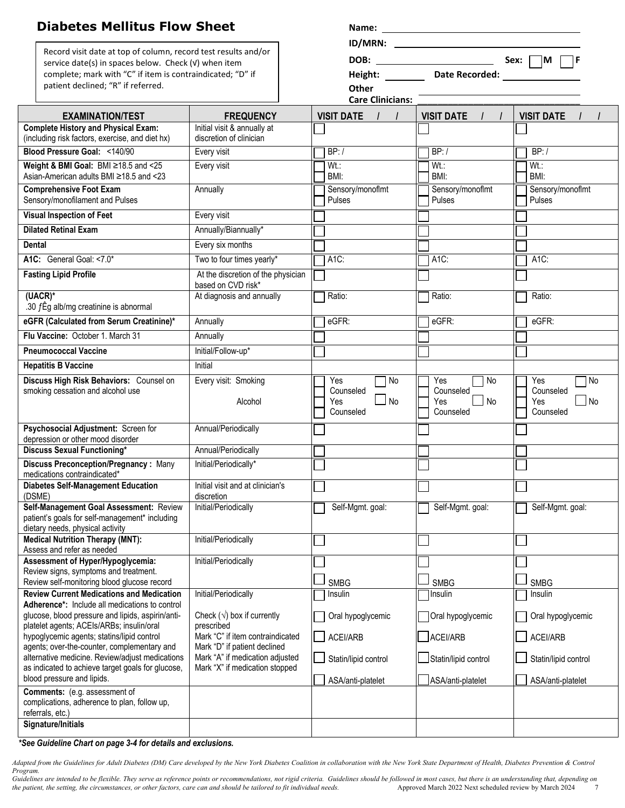| <b>Diabetes Mellitus Flow Sheet</b>                                                            |                                                                 |                                  |                                |                               |
|------------------------------------------------------------------------------------------------|-----------------------------------------------------------------|----------------------------------|--------------------------------|-------------------------------|
| Record visit date at top of column, record test results and/or                                 |                                                                 |                                  |                                |                               |
| service date(s) in spaces below. Check (v) when item                                           |                                                                 |                                  | DOB: _________________________ | Sex: $\Box$ M $\Box$ F        |
| complete; mark with "C" if item is contraindicated; "D" if                                     |                                                                 |                                  | Height: Date Recorded:         |                               |
| patient declined; "R" if referred.                                                             |                                                                 | Other<br><b>Care Clinicians:</b> |                                |                               |
| <b>EXAMINATION/TEST</b>                                                                        | <b>FREQUENCY</b>                                                | <b>VISIT DATE</b>                | <b>VISIT DATE</b><br>$\prime$  | <b>VISIT DATE</b>             |
| <b>Complete History and Physical Exam:</b>                                                     | Initial visit & annually at                                     |                                  |                                |                               |
| (including risk factors, exercise, and diet hx)                                                | discretion of clinician                                         |                                  |                                |                               |
| Blood Pressure Goal: <140/90                                                                   | Every visit                                                     | BP: /                            | BP: /                          | BP: /                         |
| Weight & BMI Goal: BMI ≥18.5 and <25<br>Asian-American adults BMI ≥18.5 and <23                | Every visit                                                     | $Wt$ .:<br>BMI:                  | Wt.:<br>BMI:                   | $Wt$ :<br>BMI:                |
| <b>Comprehensive Foot Exam</b><br>Sensory/monofilament and Pulses                              | Annually                                                        | Sensory/monoflmt<br>Pulses       | Sensory/monoflmt<br>Pulses     | Sensory/monoflmt<br>Pulses    |
| <b>Visual Inspection of Feet</b>                                                               | Every visit                                                     |                                  |                                |                               |
| <b>Dilated Retinal Exam</b>                                                                    | Annually/Biannually*                                            |                                  |                                |                               |
| Dental                                                                                         | Every six months                                                |                                  |                                |                               |
| A1C: General Goal: <7.0*                                                                       | Two to four times yearly*                                       | A1C:                             | A1C:                           | $A1C$ :                       |
| <b>Fasting Lipid Profile</b>                                                                   | At the discretion of the physician<br>based on CVD risk*        |                                  |                                |                               |
| (UACR)*<br>.30 $f \hat{E}$ g alb/mg creatinine is abnormal                                     | At diagnosis and annually                                       | Ratio:                           | Ratio:                         | Ratio:                        |
| eGFR (Calculated from Serum Creatinine)*                                                       | Annually                                                        | eGFR:                            | eGFR:                          | eGFR:                         |
| Flu Vaccine: October 1. March 31                                                               | Annually                                                        |                                  |                                |                               |
| <b>Pneumococcal Vaccine</b>                                                                    | Initial/Follow-up*                                              |                                  |                                |                               |
| <b>Hepatitis B Vaccine</b>                                                                     | Initial                                                         |                                  |                                |                               |
| Discuss High Risk Behaviors: Counsel on                                                        | Every visit: Smoking                                            | Yes<br>No                        | Yes<br>$\Box$ No               | Yes<br>7 No                   |
| smoking cessation and alcohol use                                                              | Alcohol                                                         | Counseled<br>$\Box$ No<br>Yes    | Counseled<br>$\Box$ No<br>Yes  | Counseled<br>$\Box$ No<br>Yes |
|                                                                                                |                                                                 | Counseled                        | Counseled                      | Counseled                     |
| Psychosocial Adjustment: Screen for<br>depression or other mood disorder                       | Annual/Periodically                                             |                                  |                                |                               |
| <b>Discuss Sexual Functioning*</b>                                                             | Annual/Periodically                                             |                                  |                                |                               |
| Discuss Preconception/Pregnancy: Many                                                          | Initial/Periodically*                                           |                                  |                                |                               |
| medications contraindicated*                                                                   |                                                                 |                                  |                                |                               |
| <b>Diabetes Self-Management Education</b><br>(DSME)                                            | Initial visit and at clinician's<br>discretion                  |                                  |                                |                               |
| Self-Management Goal Assessment: Review                                                        | Initial/Periodically                                            | Self-Mgmt. goal:                 | Self-Mgmt. goal:               | Self-Mgmt. goal:              |
| patient's goals for self-management* including<br>dietary needs, physical activity             |                                                                 |                                  |                                |                               |
| <b>Medical Nutrition Therapy (MNT):</b><br>Assess and refer as needed                          | Initial/Periodically                                            |                                  |                                |                               |
| Assessment of Hyper/Hypoglycemia:<br>Review signs, symptoms and treatment.                     | Initial/Periodically                                            |                                  |                                |                               |
| Review self-monitoring blood glucose record                                                    |                                                                 | <b>SMBG</b>                      | <b>SMBG</b>                    | <b>SMBG</b>                   |
| <b>Review Current Medications and Medication</b>                                               | Initial/Periodically                                            | Insulin                          | Insulin                        | Insulin                       |
| Adherence*: Include all medications to control                                                 | Check $(\sqrt{})$ box if currently                              |                                  |                                |                               |
| glucose, blood pressure and lipids, aspirin/anti-<br>platelet agents; ACEIs/ARBs; insulin/oral | prescribed                                                      | Oral hypoglycemic                | Oral hypoglycemic              | Oral hypoglycemic             |
| hypoglycemic agents; statins/lipid control                                                     | Mark "C" if item contraindicated                                | ACEI/ARB                         | ACEI/ARB                       | ACEI/ARB                      |
| agents; over-the-counter, complementary and<br>alternative medicine. Review/adjust medications | Mark "D" if patient declined<br>Mark "A" if medication adjusted | Statin/lipid control             | Statin/lipid control           | Statin/lipid control          |
| as indicated to achieve target goals for glucose,                                              | Mark "X" if medication stopped                                  |                                  |                                |                               |
| blood pressure and lipids.                                                                     |                                                                 | ASA/anti-platelet                | ASA/anti-platelet              | ASA/anti-platelet             |
| <b>Comments:</b> (e.g. assessment of<br>complications, adherence to plan, follow up,           |                                                                 |                                  |                                |                               |
| referrals, etc.)                                                                               |                                                                 |                                  |                                |                               |
| Signature/Initials                                                                             |                                                                 |                                  |                                |                               |

*\*See Guideline Chart on page 3-4 for details and exclusions.*

*Adapted from the Guidelines for Adult Diabetes (DM) Care developed by the New York Diabetes Coalition in collaboration with the New York State Department of Health, Diabetes Prevention & Control Program.*

*Guidelines are intended to be flexible. They serve as reference points or recommendations, not rigid criteria. Guidelines should be followed in most cases, but there is an understanding that, depending on the patient, the setting, the circumstances, or other factors, care can and should be tailored to fit individual needs.* Approved March 2022 Next scheduled review by March 2024 7 and the patient, the setting, the circumst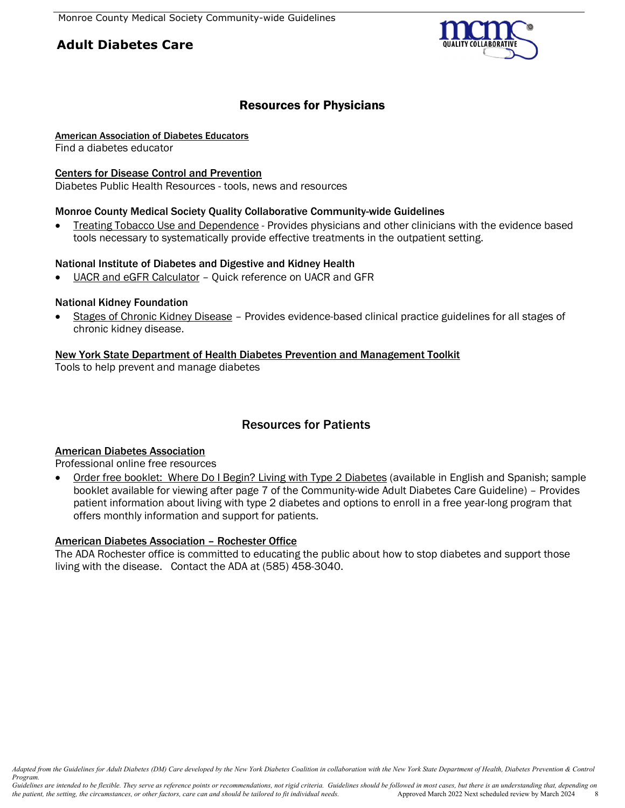# **Adult Diabetes Care**



# Resources for Physicians

## [American Association of Diabetes Educators](http://www.diabeteseducator.org/)

Find a diabetes educator

#### [Centers for Disease Control and Prevention](http://www.cdc.gov/diabetes/)

Diabetes Public Health Resources - tools, news and resources

## Monroe County Medical Society Quality Collaborative Community-wide Guidelines

• [Treating Tobacco Use and Dependence](http://www.mcms.org/community-guidelines) - Provides physicians and other clinicians with the evidence based tools necessary to systematically provide effective treatments in the outpatient setting.

#### National Institute of Diabetes and Digestive and Kidney Health

[UACR and eGFR Calculator](http://nkdep.nih.gov/resources/quick-reference-uacr-gfr.shtml) – Quick reference on UACR and GFR

## National Kidney Foundation

• [Stages of Chronic Kidney Disease](https://www.kidney.org/professionals/kdoqi/guidelines_commentaries) – Provides evidence-based clinical practice guidelines for all stages of chronic kidney disease.

## [New York State Department of Health Diabetes Prevention and Management Toolkit](http://www.health.ny.gov/diseases/conditions/diabetes/toolkit_descriptions.htm)

Tools to help prevent and manage diabetes

# Resources for Patients

## [American Diabetes Association](http://professional.diabetes.org/?utm_source=Offline&utm_medium=Print&utm_content=pro&utm_campaign=DP)

Professional online free resources

• [Order free booklet: Where Do I Begin? Living with Type 2 Diabetes](http://www.ada-ksw.com/order_LWT2D.php) (available in English and Spanish; sample booklet available for viewing after page 7 of the Community-wide Adult Diabetes Care Guideline) – Provides patient information about living with type 2 diabetes and options to enroll in a free year-long program that offers monthly information and support for patients.

## [American Diabetes Association –](http://www.diabetes.org/in-my-community/local-offices/rochester-new-york/) Rochester Office

The ADA Rochester office is committed to educating the public about how to stop diabetes and support those living with the disease. Contact the ADA at (585) 458-3040.

*Adapted from the Guidelines for Adult Diabetes (DM) Care developed by the New York Diabetes Coalition in collaboration with the New York State Department of Health, Diabetes Prevention & Control Program.*

*Guidelines are intended to be flexible. They serve as reference points or recommendations, not rigid criteria. Guidelines should be followed in most cases, but there is an understanding that, depending on the patient, the* the patient, the setting, the circumstances, or other factors, care can and should be tailored to fit individual needs.